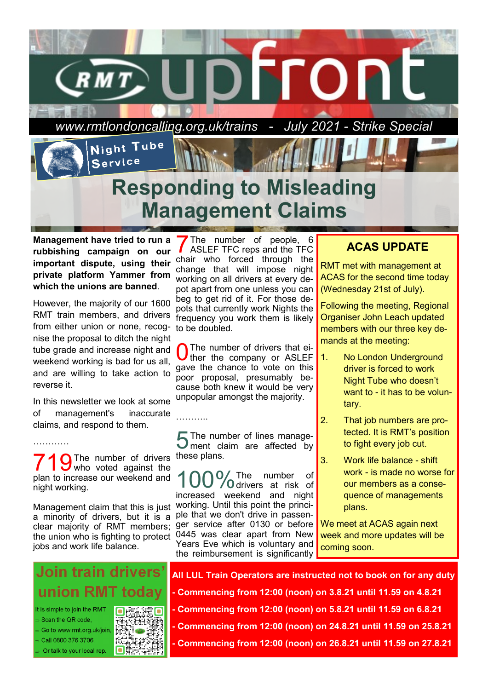

**Management have tried to run a rubbishing campaign on our important dispute, using their private platform Yammer from which the unions are banned**.

However, the majority of our 1600 RMT train members, and drivers from either union or none, recog-to be doubled. nise the proposal to ditch the night tube grade and increase night and weekend working is bad for us all, and are willing to take action to reverse it.

In this newsletter we look at some of management's inaccurate claims, and respond to them.

…………

719The number of drivers these plans. who voted against the plan to increase our weekend and night working.

Management claim that this is just a minority of drivers, but it is a clear majority of RMT members; the union who is fighting to protect jobs and work life balance.



It is simple to join the RMT: Scan the QR code. Go to www.rmt.org.uk/join,

Call 0800 376 3706, Or talk to your local rep.



7 The number of people, 6 ASLEF TFC reps and the TFC chair who forced through the change that will impose night working on all drivers at every depot apart from one unless you can beg to get rid of it. For those depots that currently work Nights the frequency you work them is likely

0 The number of drivers that either the company or ASLEF gave the chance to vote on this poor proposal, presumably because both knew it would be very unpopular amongst the majority.

**5** The number of lines manage-<br>**5** ment claim are affected by ment claim are affected by

………..

100%The number of increased weekend and night working. Until this point the principle that we don't drive in passenger service after 0130 or before 0445 was clear apart from New Years Eve which is voluntary and the reimbursement is significantly

## **ACAS UPDATE**

RMT met with management at ACAS for the second time today (Wednesday 21st of July).

Following the meeting, Regional Organiser John Leach updated members with our three key demands at the meeting:

- 1. No London Underground driver is forced to work Night Tube who doesn't want to - it has to be voluntary.
- 2. That job numbers are protected. It is RMT's position to fight every job cut.
- 3. Work life balance shift work - is made no worse for our members as a consequence of managements plans.

We meet at ACAS again next week and more updates will be coming soon.

**All LUL Train Operators are instructed not to book on for any duty**

- **- Commencing from 12:00 (noon) on 3.8.21 until 11.59 on 4.8.21**
- **- Commencing from 12:00 (noon) on 5.8.21 until 11.59 on 6.8.21**
- **- Commencing from 12:00 (noon) on 24.8.21 until 11.59 on 25.8.21**
- **- Commencing from 12:00 (noon) on 26.8.21 until 11.59 on 27.8.21**